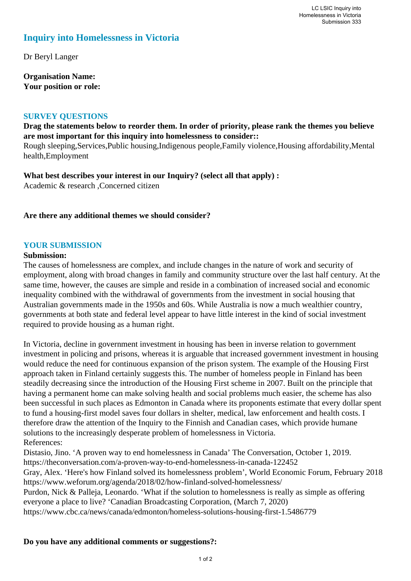# **Inquiry into Homelessness in Victoria**

Dr Beryl Langer

**Organisation Name: Your position or role:** 

#### **SURVEY QUESTIONS**

**Drag the statements below to reorder them. In order of priority, please rank the themes you believe are most important for this inquiry into homelessness to consider::** 

Rough sleeping,Services,Public housing,Indigenous people,Family violence,Housing affordability,Mental health,Employment

**What best describes your interest in our Inquiry? (select all that apply) :**  Academic & research ,Concerned citizen

#### **Are there any additional themes we should consider?**

#### **YOUR SUBMISSION**

#### **Submission:**

The causes of homelessness are complex, and include changes in the nature of work and security of employment, along with broad changes in family and community structure over the last half century. At the same time, however, the causes are simple and reside in a combination of increased social and economic inequality combined with the withdrawal of governments from the investment in social housing that Australian governments made in the 1950s and 60s. While Australia is now a much wealthier country, governments at both state and federal level appear to have little interest in the kind of social investment required to provide housing as a human right.

In Victoria, decline in government investment in housing has been in inverse relation to government investment in policing and prisons, whereas it is arguable that increased government investment in housing would reduce the need for continuous expansion of the prison system. The example of the Housing First approach taken in Finland certainly suggests this. The number of homeless people in Finland has been steadily decreasing since the introduction of the Housing First scheme in 2007. Built on the principle that having a permanent home can make solving health and social problems much easier, the scheme has also been successful in such places as Edmonton in Canada where its proponents estimate that every dollar spent to fund a housing-first model saves four dollars in shelter, medical, law enforcement and health costs. I therefore draw the attention of the Inquiry to the Finnish and Canadian cases, which provide humane solutions to the increasingly desperate problem of homelessness in Victoria. References:

Distasio, Jino. 'A proven way to end homelessness in Canada' The Conversation, October 1, 2019. https://theconversation.com/a-proven-way-to-end-homelessness-in-canada-122452 Gray, Alex. 'Here's how Finland solved its homelessness problem', World Economic Forum, February 2018

https://www.weforum.org/agenda/2018/02/how-finland-solved-homelessness/ Purdon, Nick & Palleja, Leonardo. 'What if the solution to homelessness is really as simple as offering everyone a place to live? 'Canadian Broadcasting Corporation, (March 7, 2020)

https://www.cbc.ca/news/canada/edmonton/homeless-solutions-housing-first-1.5486779

#### **Do you have any additional comments or suggestions?:**